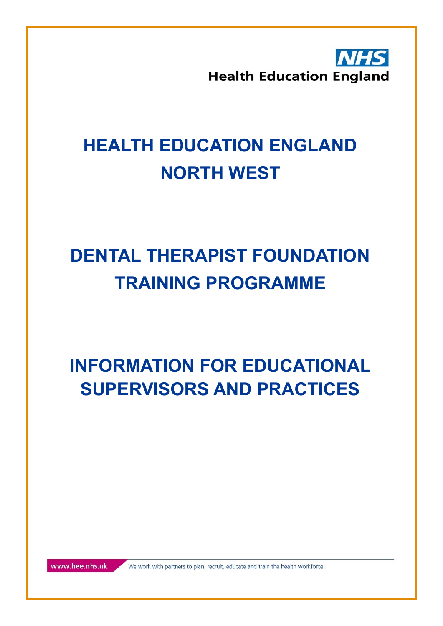**Health Education England** 

### **HEALTH EDUCATION ENGLAND NORTH WEST**

### **DENTAL THERAPIST FOUNDATION TRAINING PROGRAMME**

**INFORMATION FOR EDUCATIONAL SUPERVISORS AND PRACTICES**

www.hee.nhs.uk

We work with partners to plan, recruit, educate and train the health workforce.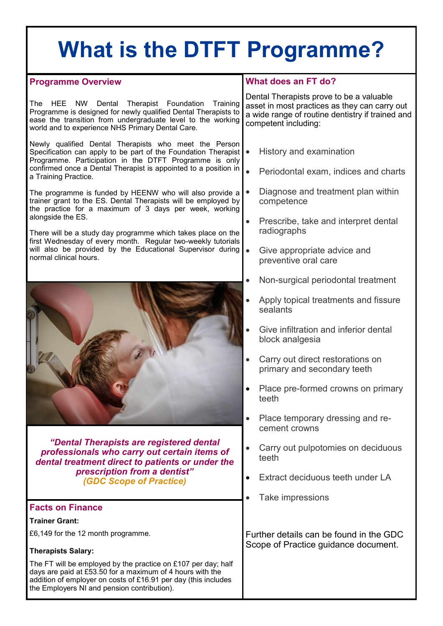### **What is the DTFT Programme?**

#### **What does an FT do?** Dental Therapists prove to be a valuable asset in most practices as they can carry out a wide range of routine dentistry if trained and competent including: • History and examination • Periodontal exam, indices and charts • Diagnose and treatment plan within competence • Prescribe, take and interpret dental radiographs • Give appropriate advice and preventive oral care • Non-surgical periodontal treatment • Apply topical treatments and fissure sealants • Give infiltration and inferior dental block analgesia • Carry out direct restorations on primary and secondary teeth • Place pre-formed crowns on primary teeth • Place temporary dressing and recement crowns • Carry out pulpotomies on deciduous teeth • Extract deciduous teeth under LA • Take impressions Further details can be found in the GDC Scope of Practice guidance document. **Programme Overview** The HEE NW Dental Therapist Foundation Training Programme is designed for newly qualified Dental Therapists to ease the transition from undergraduate level to the working world and to experience NHS Primary Dental Care. Newly qualified Dental Therapists who meet the Person Specification can apply to be part of the Foundation Therapist Programme. Participation in the DTFT Programme is only confirmed once a Dental Therapist is appointed to a position in a Training Practice. The programme is funded by HEENW who will also provide a trainer grant to the ES. Dental Therapists will be employed by the practice for a maximum of 3 days per week, working alongside the ES. There will be a study day programme which takes place on the first Wednesday of every month. Regular two-weekly tutorials will also be provided by the Educational Supervisor during normal clinical hours. *"Dental Therapists are registered dental professionals who carry out certain items of dental treatment direct to patients or under the prescription from a dentist" (GDC Scope of Practice)* **Facts on Finance Trainer Grant:** £6,149 for the 12 month programme. **Therapists Salary:** The FT will be employed by the practice on £107 per day; half days are paid at £53.50 for a maximum of 4 hours with the addition of employer on costs of £16.91 per day (this includes the Employers NI and pension contribution).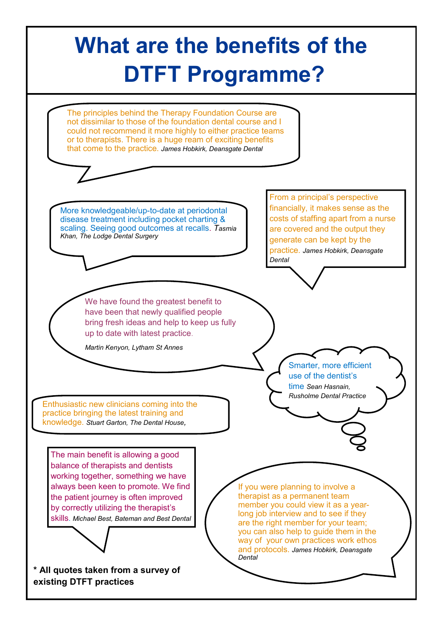## **What are the benefits of the DTFT Programme?**

The principles behind the Therapy Foundation Course are not dissimilar to those of the foundation dental course and I could not recommend it more highly to either practice teams or to therapists. There is a huge ream of exciting benefits that come to the practice. *James Hobkirk, Deansgate Dental*

More knowledgeable/up-to-date at periodontal disease treatment including pocket charting & scaling. Seeing good outcomes at recalls. *Tasmia Khan, The Lodge Dental Surgery*

From a principal's perspective financially, it makes sense as the costs of staffing apart from a nurse are covered and the output they generate can be kept by the practice. *James Hobkirk, Deansgate Dental*

We have found the greatest benefit to have been that newly qualified people bring fresh ideas and help to keep us fully up to date with latest practice.

*Martin Kenyon, Lytham St Annes*

Smarter, more efficient use of the dentist's time *Sean Hasnain, Rusholme Dental Practice*

Enthusiastic new clinicians coming into the practice bringing the latest training and knowledge. *Stuart Garton, The Dental House,*

The main benefit is allowing a good balance of therapists and dentists working together, something we have always been keen to promote. We find the patient journey is often improved by correctly utilizing the therapist's skills. *Michael Best, Bateman and Best Dental* 

**\* All quotes taken from a survey of existing DTFT practices**

If you were planning to involve a therapist as a permanent team member you could view it as a yearlong job interview and to see if they are the right member for your team; you can also help to guide them in the way of your own practices work ethos and protocols. *James Hobkirk, Deansgate Dental*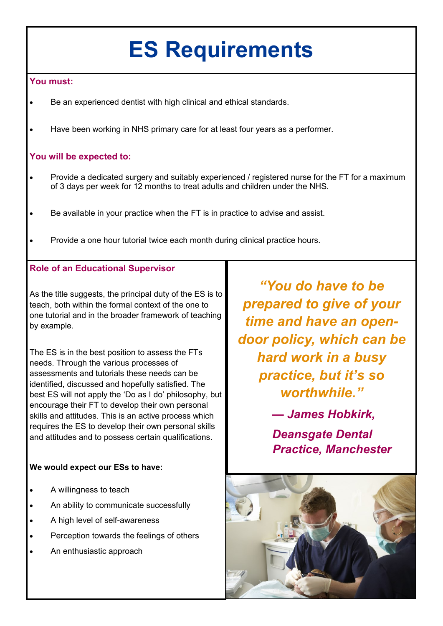## **ES Requirements**

#### **You must:**

- Be an experienced dentist with high clinical and ethical standards.
- Have been working in NHS primary care for at least four years as a performer.

### **You will be expected to:**

- Provide a dedicated surgery and suitably experienced / registered nurse for the FT for a maximum of 3 days per week for 12 months to treat adults and children under the NHS.
- Be available in your practice when the FT is in practice to advise and assist.
- Provide a one hour tutorial twice each month during clinical practice hours.

### **Role of an Educational Supervisor**

As the title suggests, the principal duty of the ES is to teach, both within the formal context of the one to one tutorial and in the broader framework of teaching by example.

The ES is in the best position to assess the FTs needs. Through the various processes of assessments and tutorials these needs can be identified, discussed and hopefully satisfied. The best ES will not apply the 'Do as I do' philosophy, but encourage their FT to develop their own personal skills and attitudes. This is an active process which requires the ES to develop their own personal skills and attitudes and to possess certain qualifications.

### **We would expect our ESs to have:**

- A willingness to teach
- An ability to communicate successfully
- A high level of self-awareness
- Perception towards the feelings of others
- An enthusiastic approach

*"You do have to be prepared to give of your time and have an opendoor policy, which can be hard work in a busy practice, but it's so worthwhile."*

> *— James Hobkirk, Deansgate Dental Practice, Manchester*

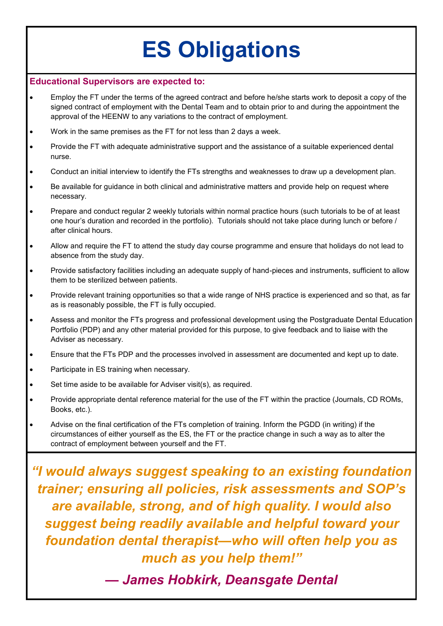## **ES Obligations**

#### **Educational Supervisors are expected to:**

- Employ the FT under the terms of the agreed contract and before he/she starts work to deposit a copy of the signed contract of employment with the Dental Team and to obtain prior to and during the appointment the approval of the HEENW to any variations to the contract of employment.
- Work in the same premises as the FT for not less than 2 days a week.
- Provide the FT with adequate administrative support and the assistance of a suitable experienced dental nurse.
- Conduct an initial interview to identify the FTs strengths and weaknesses to draw up a development plan.
- Be available for guidance in both clinical and administrative matters and provide help on request where necessary.
- Prepare and conduct regular 2 weekly tutorials within normal practice hours (such tutorials to be of at least one hour's duration and recorded in the portfolio). Tutorials should not take place during lunch or before / after clinical hours.
- Allow and require the FT to attend the study day course programme and ensure that holidays do not lead to absence from the study day.
- Provide satisfactory facilities including an adequate supply of hand-pieces and instruments, sufficient to allow them to be sterilized between patients.
- Provide relevant training opportunities so that a wide range of NHS practice is experienced and so that, as far as is reasonably possible, the FT is fully occupied.
- Assess and monitor the FTs progress and professional development using the Postgraduate Dental Education Portfolio (PDP) and any other material provided for this purpose, to give feedback and to liaise with the Adviser as necessary.
- Ensure that the FTs PDP and the processes involved in assessment are documented and kept up to date.
- Participate in ES training when necessary.
- Set time aside to be available for Adviser visit(s), as required.
- Provide appropriate dental reference material for the use of the FT within the practice (Journals, CD ROMs, Books, etc.).
- Advise on the final certification of the FTs completion of training. Inform the PGDD (in writing) if the circumstances of either yourself as the ES, the FT or the practice change in such a way as to alter the contract of employment between yourself and the FT.

*"I would always suggest speaking to an existing foundation trainer; ensuring all policies, risk assessments and SOP's are available, strong, and of high quality. I would also suggest being readily available and helpful toward your foundation dental therapist—who will often help you as much as you help them!"*

*— James Hobkirk, Deansgate Dental*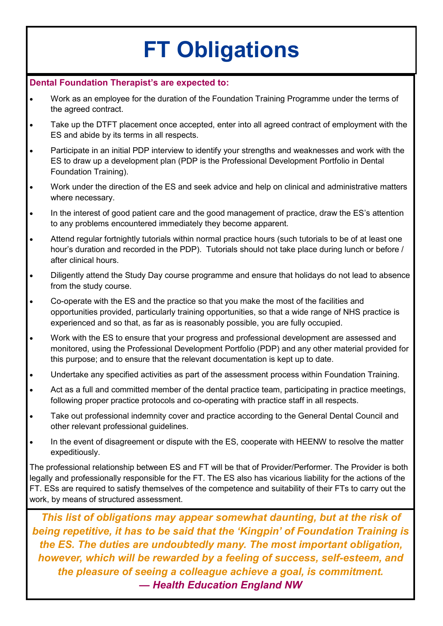# **FT Obligations**

#### **Dental Foundation Therapist's are expected to:**

- Work as an employee for the duration of the Foundation Training Programme under the terms of the agreed contract.
- Take up the DTFT placement once accepted, enter into all agreed contract of employment with the ES and abide by its terms in all respects.
- Participate in an initial PDP interview to identify your strengths and weaknesses and work with the ES to draw up a development plan (PDP is the Professional Development Portfolio in Dental Foundation Training).
- Work under the direction of the ES and seek advice and help on clinical and administrative matters where necessary.
- In the interest of good patient care and the good management of practice, draw the ES's attention to any problems encountered immediately they become apparent.
- Attend regular fortnightly tutorials within normal practice hours (such tutorials to be of at least one hour's duration and recorded in the PDP). Tutorials should not take place during lunch or before / after clinical hours.
- Diligently attend the Study Day course programme and ensure that holidays do not lead to absence from the study course.
- Co-operate with the ES and the practice so that you make the most of the facilities and opportunities provided, particularly training opportunities, so that a wide range of NHS practice is experienced and so that, as far as is reasonably possible, you are fully occupied.
- Work with the ES to ensure that your progress and professional development are assessed and monitored, using the Professional Development Portfolio (PDP) and any other material provided for this purpose; and to ensure that the relevant documentation is kept up to date.
- Undertake any specified activities as part of the assessment process within Foundation Training.
- Act as a full and committed member of the dental practice team, participating in practice meetings, following proper practice protocols and co-operating with practice staff in all respects.
- Take out professional indemnity cover and practice according to the General Dental Council and other relevant professional guidelines.
- In the event of disagreement or dispute with the ES, cooperate with HEENW to resolve the matter expeditiously.

The professional relationship between ES and FT will be that of Provider/Performer. The Provider is both legally and professionally responsible for the FT. The ES also has vicarious liability for the actions of the FT. ESs are required to satisfy themselves of the competence and suitability of their FTs to carry out the work, by means of structured assessment.

*This list of obligations may appear somewhat daunting, but at the risk of being repetitive, it has to be said that the 'Kingpin' of Foundation Training is the ES. The duties are undoubtedly many. The most important obligation, however, which will be rewarded by a feeling of success, self-esteem, and the pleasure of seeing a colleague achieve a goal, is commitment. — Health Education England NW*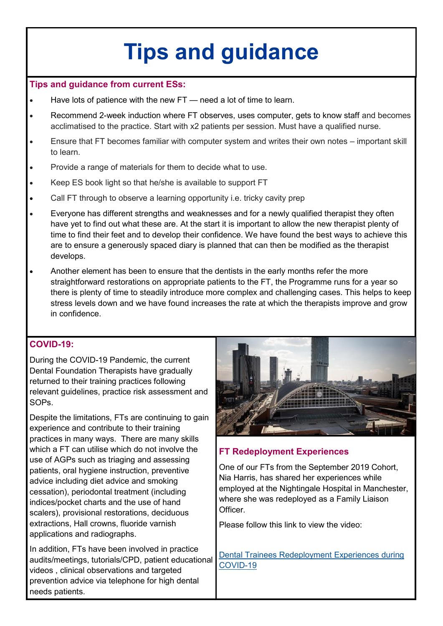## **Tips and guidance**

#### **Tips and guidance from current ESs:**

- Have lots of patience with the new FT need a lot of time to learn.
- Recommend 2-week induction where FT observes, uses computer, gets to know staff and becomes acclimatised to the practice. Start with x2 patients per session. Must have a qualified nurse.
- Ensure that FT becomes familiar with computer system and writes their own notes important skill to learn.
- Provide a range of materials for them to decide what to use.
- Keep ES book light so that he/she is available to support FT
- Call FT through to observe a learning opportunity i.e. tricky cavity prep
- Everyone has different strengths and weaknesses and for a newly qualified therapist they often have yet to find out what these are. At the start it is important to allow the new therapist plenty of time to find their feet and to develop their confidence. We have found the best ways to achieve this are to ensure a generously spaced diary is planned that can then be modified as the therapist develops.
- Another element has been to ensure that the dentists in the early months refer the more straightforward restorations on appropriate patients to the FT, the Programme runs for a year so there is plenty of time to steadily introduce more complex and challenging cases. This helps to keep stress levels down and we have found increases the rate at which the therapists improve and grow in confidence.

### **COVID-19:**

During the COVID-19 Pandemic, the current Dental Foundation Therapists have gradually returned to their training practices following relevant guidelines, practice risk assessment and SOPs.

Despite the limitations, FTs are continuing to gain experience and contribute to their training practices in many ways. There are many skills which a FT can utilise which do not involve the use of AGPs such as triaging and assessing patients, oral hygiene instruction, preventive advice including diet advice and smoking cessation), periodontal treatment (including indices/pocket charts and the use of hand scalers), provisional restorations, deciduous extractions, Hall crowns, fluoride varnish applications and radiographs.

In addition, FTs have been involved in practice audits/meetings, tutorials/CPD, patient educational videos , clinical observations and targeted prevention advice via telephone for high dental needs patients.



### **FT Redeployment Experiences**

One of our FTs from the September 2019 Cohort, Nia Harris, has shared her experiences while employed at the Nightingale Hospital in Manchester, where she was redeployed as a Family Liaison **Officer** 

Please follow this link to view the video:

[Dental Trainees Redeployment Experiences during](https://www.youtube.com/watch?v=aTmHH3_3Nw0&list=PLrVQaAxyJE3ew0hRmmH2ay9vMLls8tMlZ&index=6)  [COVID](https://www.youtube.com/watch?v=aTmHH3_3Nw0&list=PLrVQaAxyJE3ew0hRmmH2ay9vMLls8tMlZ&index=6)-19